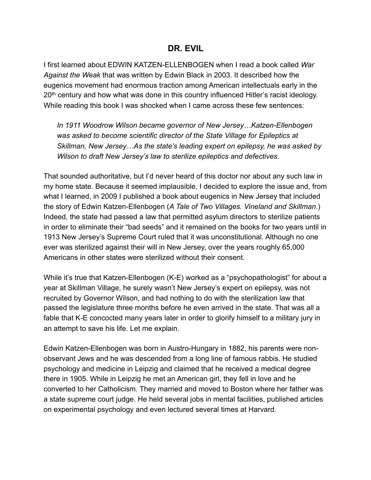## **DR. EVIL**

I first learned about EDWIN KATZEN-ELLENBOGEN when I read a book called *War Against the Weak* that was written by Edwin Black in 2003. It described how the eugenics movement had enormous traction among American intellectuals early in the 20<sup>th</sup> century and how what was done in this country influenced Hitler's racist ideology. While reading this book I was shocked when I came across these few sentences:

*In 1911 Woodrow Wilson became governor of New Jersey…Katzen-Ellenbogen was asked to become scientific director of the State Village for Epileptics at Skillman, New Jersey…As the state's leading expert on epilepsy, he was asked by Wilson to draft New Jersey's law to sterilize epileptics and defectives.* 

That sounded authoritative, but I'd never heard of this doctor nor about any such law in my home state. Because it seemed implausible, I decided to explore the issue and, from what I learned, in 2009 I published a book about eugenics in New Jersey that included the story of Edwin Katzen-Ellenbogen (*A Tale of Two Villages. Vineland and Skillman*.) Indeed, the state had passed a law that permitted asylum directors to sterilize patients in order to eliminate their "bad seeds" and it remained on the books for two years until in 1913 New Jersey's Supreme Court ruled that it was unconstitutional. Although no one ever was sterilized against their will in New Jersey, over the years roughly 65,000 Americans in other states were sterilized without their consent.

While it's true that Katzen-Ellenbogen (K-E) worked as a "psychopathologist" for about a year at Skillman Village, he surely wasn't New Jersey's expert on epilepsy, was not recruited by Governor Wilson, and had nothing to do with the sterilization law that passed the legislature three months before he even arrived in the state. That was all a fable that K-E concocted many years later in order to glorify himself to a military jury in an attempt to save his life. Let me explain.

Edwin Katzen-Ellenbogen was born in Austro-Hungary in 1882, his parents were nonobservant Jews and he was descended from a long line of famous rabbis. He studied psychology and medicine in Leipzig and claimed that he received a medical degree there in 1905. While in Leipzig he met an American girl, they fell in love and he converted to her Catholicism. They married and moved to Boston where her father was a state supreme court judge. He held several jobs in mental facilities, published articles on experimental psychology and even lectured several times at Harvard.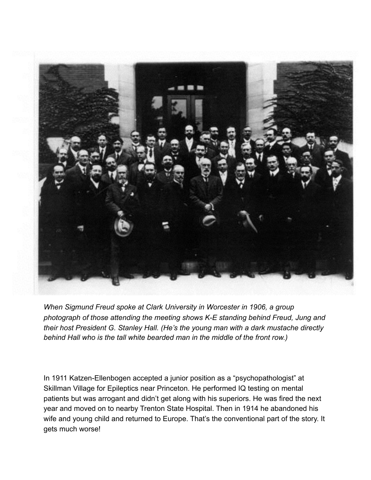

*When Sigmund Freud spoke at Clark University in Worcester in 1906, a group photograph of those attending the meeting shows K-E standing behind Freud, Jung and their host President G. Stanley Hall. (He's the young man with a dark mustache directly behind Hall who is the tall white bearded man in the middle of the front row.)* 

In 1911 Katzen-Ellenbogen accepted a junior position as a "psychopathologist" at Skillman Village for Epileptics near Princeton. He performed IQ testing on mental patients but was arrogant and didn't get along with his superiors. He was fired the next year and moved on to nearby Trenton State Hospital. Then in 1914 he abandoned his wife and young child and returned to Europe. That's the conventional part of the story. It gets much worse!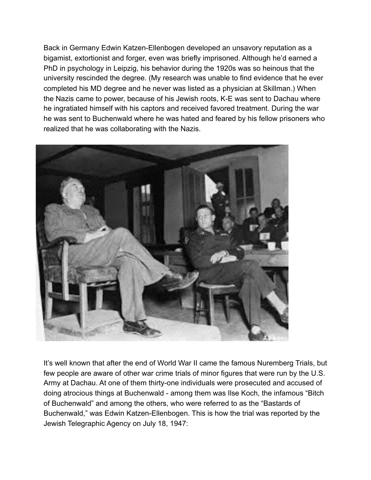Back in Germany Edwin Katzen-Ellenbogen developed an unsavory reputation as a bigamist, extortionist and forger, even was briefly imprisoned. Although he'd earned a PhD in psychology in Leipzig, his behavior during the 1920s was so heinous that the university rescinded the degree. (My research was unable to find evidence that he ever completed his MD degree and he never was listed as a physician at Skillman.) When the Nazis came to power, because of his Jewish roots, K-E was sent to Dachau where he ingratiated himself with his captors and received favored treatment. During the war he was sent to Buchenwald where he was hated and feared by his fellow prisoners who realized that he was collaborating with the Nazis.



It's well known that after the end of World War II came the famous Nuremberg Trials, but few people are aware of other war crime trials of minor figures that were run by the U.S. Army at Dachau. At one of them thirty-one individuals were prosecuted and accused of doing atrocious things at Buchenwald - among them was Ilse Koch, the infamous "Bitch of Buchenwald" and among the others, who were referred to as the "Bastards of Buchenwald," was Edwin Katzen-Ellenbogen. This is how the trial was reported by the Jewish Telegraphic Agency on July 18, 1947: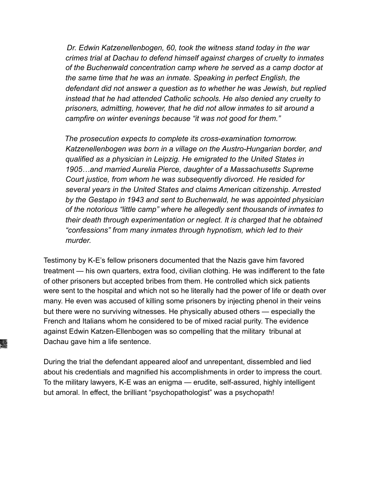*Dr. Edwin Katzenellenbogen, 60, took the witness stand today in the war crimes trial at Dachau to defend himself against charges of cruelty to inmates of the Buchenwald concentration camp where he served as a camp doctor at the same time that he was an inmate. Speaking in perfect English, the defendant did not answer a question as to whether he was Jewish, but replied instead that he had attended Catholic schools. He also denied any cruelty to prisoners, admitting, however, that he did not allow inmates to sit around a campfire on winter evenings because "it was not good for them."* 

 *The prosecution expects to complete its cross-examination tomorrow. Katzenellenbogen was born in a village on the Austro-Hungarian border, and qualified as a physician in Leipzig. He emigrated to the United States in 1905…and married Aurelia Pierce, daughter of a Massachusetts Supreme Court justice, from whom he was subsequently divorced. He resided for several years in the United States and claims American citizenship. Arrested by the Gestapo in 1943 and sent to Buchenwald, he was appointed physician of the notorious "little camp" where he allegedly sent thousands of inmates to their death through experimentation or neglect. It is charged that he obtained "confessions" from many inmates through hypnotism, which led to their murder.* 

Testimony by K-E's fellow prisoners documented that the Nazis gave him favored treatment — his own quarters, extra food, civilian clothing. He was indifferent to the fate of other prisoners but accepted bribes from them. He controlled which sick patients were sent to the hospital and which not so he literally had the power of life or death over many. He even was accused of killing some prisoners by injecting phenol in their veins but there were no surviving witnesses. He physically abused others — especially the French and Italians whom he considered to be of mixed racial purity. The evidence against Edwin Katzen-Ellenbogen was so compelling that the military tribunal at Dachau gave him a life sentence.

During the trial the defendant appeared aloof and unrepentant, dissembled and lied about his credentials and magnified his accomplishments in order to impress the court. To the military lawyers, K-E was an enigma — erudite, self-assured, highly intelligent but amoral. In effect, the brilliant "psychopathologist" was a psychopath!